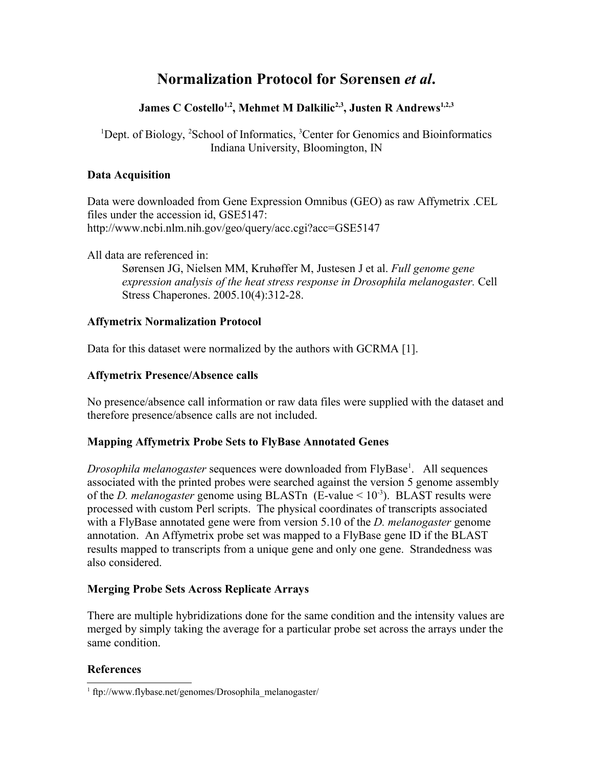# **Normalization Protocol for SØrensen** *et al***.**

## **James C Costello1,2, Mehmet M Dalkilic2,3, Justen R Andrews1,2,3**

<sup>1</sup>Dept. of Biology, <sup>2</sup>School of Informatics, <sup>3</sup>Center for Genomics and Bioinformatics Indiana University, Bloomington, IN

#### **Data Acquisition**

Data were downloaded from Gene Expression Omnibus (GEO) as raw Affymetrix .CEL files under the accession id, GSE5147: http://www.ncbi.nlm.nih.gov/geo/query/acc.cgi?acc=GSE5147

All data are referenced in:

Sørensen JG, Nielsen MM, Kruhøffer M, Justesen J et al. *Full genome gene expression analysis of the heat stress response in Drosophila melanogaster.* Cell Stress Chaperones. 2005.10(4):312-28.

### **Affymetrix Normalization Protocol**

Data for this dataset were normalized by the authors with GCRMA [1].

### **Affymetrix Presence/Absence calls**

No presence/absence call information or raw data files were supplied with the dataset and therefore presence/absence calls are not included.

## **Mapping Affymetrix Probe Sets to FlyBase Annotated Genes**

Drosophila melanogaster sequences were downloaded from FlyBase<sup>[1](#page-0-0)</sup>. All sequences associated with the printed probes were searched against the version 5 genome assembly of the *D. melanogaster* genome using BLASTn (E-value  $\leq 10^{-3}$ ). BLAST results were processed with custom Perl scripts. The physical coordinates of transcripts associated with a FlyBase annotated gene were from version 5.10 of the *D. melanogaster* genome annotation. An Affymetrix probe set was mapped to a FlyBase gene ID if the BLAST results mapped to transcripts from a unique gene and only one gene. Strandedness was also considered.

#### **Merging Probe Sets Across Replicate Arrays**

There are multiple hybridizations done for the same condition and the intensity values are merged by simply taking the average for a particular probe set across the arrays under the same condition.

## **References**

<span id="page-0-0"></span><sup>1</sup> ftp://www.flybase.net/genomes/Drosophila\_melanogaster/